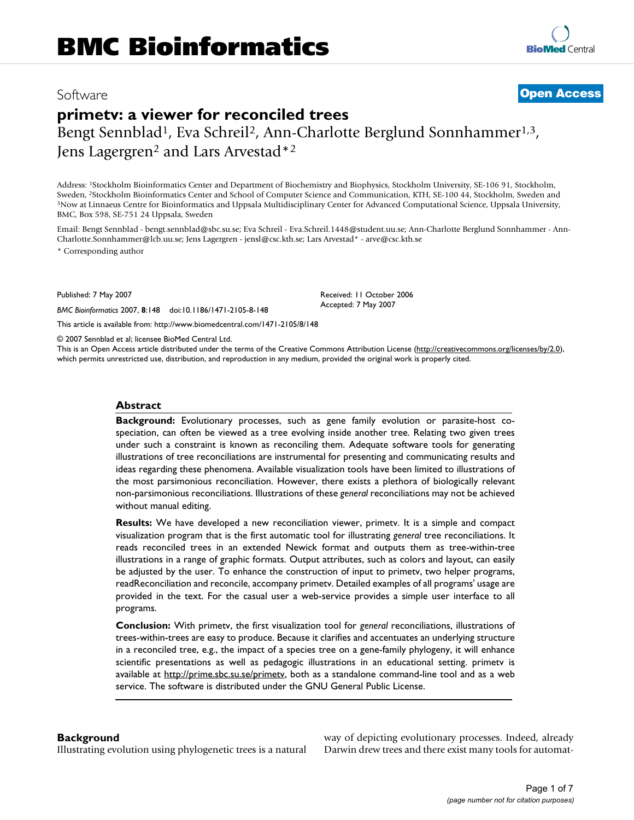# Software **[Open Access](http://www.biomedcentral.com/info/about/charter/)**

# **primetv: a viewer for reconciled trees** Bengt Sennblad<sup>1</sup>, Eva Schreil<sup>2</sup>, Ann-Charlotte Berglund Sonnhammer<sup>1,3</sup>, Jens Lagergren<sup>2</sup> and Lars Arvestad<sup>\*2</sup>

Address: 1Stockholm Bioinformatics Center and Department of Biochemistry and Biophysics, Stockholm University, SE-106 91, Stockholm, Sweden, <sup>2</sup>Stockholm Bioinformatics Center and School of Computer Science and Communication, KTH, SE-100 44, Stockholm, Sweden and 3Now at Linnaeus Centre for Bioinformatics and Uppsala Multidisciplinary Center for Advance BMC, Box 598, SE-751 24 Uppsala, Sweden

Email: Bengt Sennblad - bengt.sennblad@sbc.su.se; Eva Schreil - Eva.Schreil.1448@student.uu.se; Ann-Charlotte Berglund Sonnhammer - Ann-Charlotte.Sonnhammer@lcb.uu.se; Jens Lagergren - jensl@csc.kth.se; Lars Arvestad\* - arve@csc.kth.se

> Received: 11 October 2006 Accepted: 7 May 2007

\* Corresponding author

Published: 7 May 2007

*BMC Bioinformatics* 2007, **8**:148 doi:10.1186/1471-2105-8-148

[This article is available from: http://www.biomedcentral.com/1471-2105/8/148](http://www.biomedcentral.com/1471-2105/8/148)

© 2007 Sennblad et al; licensee BioMed Central Ltd.

This is an Open Access article distributed under the terms of the Creative Commons Attribution License [\(http://creativecommons.org/licenses/by/2.0\)](http://creativecommons.org/licenses/by/2.0), which permits unrestricted use, distribution, and reproduction in any medium, provided the original work is properly cited.

### **Abstract**

**Background:** Evolutionary processes, such as gene family evolution or parasite-host cospeciation, can often be viewed as a tree evolving inside another tree. Relating two given trees under such a constraint is known as reconciling them. Adequate software tools for generating illustrations of tree reconciliations are instrumental for presenting and communicating results and ideas regarding these phenomena. Available visualization tools have been limited to illustrations of the most parsimonious reconciliation. However, there exists a plethora of biologically relevant non-parsimonious reconciliations. Illustrations of these *general* reconciliations may not be achieved without manual editing.

**Results:** We have developed a new reconciliation viewer, primetv. It is a simple and compact visualization program that is the first automatic tool for illustrating *general* tree reconciliations. It reads reconciled trees in an extended Newick format and outputs them as tree-within-tree illustrations in a range of graphic formats. Output attributes, such as colors and layout, can easily be adjusted by the user. To enhance the construction of input to primetv, two helper programs, readReconciliation and reconcile, accompany primetv. Detailed examples of all programs' usage are provided in the text. For the casual user a web-service provides a simple user interface to all programs.

**Conclusion:** With primetv, the first visualization tool for *general* reconciliations, illustrations of trees-within-trees are easy to produce. Because it clarifies and accentuates an underlying structure in a reconciled tree, e.g., the impact of a species tree on a gene-family phylogeny, it will enhance scientific presentations as well as pedagogic illustrations in an educational setting. primetv is available at http://prime.sbc.su.se/primety, both as a standalone command-line tool and as a web service. The software is distributed under the GNU General Public License.

#### **Background**

Illustrating evolution using phylogenetic trees is a natural

way of depicting evolutionary processes. Indeed, already Darwin drew trees and there exist many tools for automat-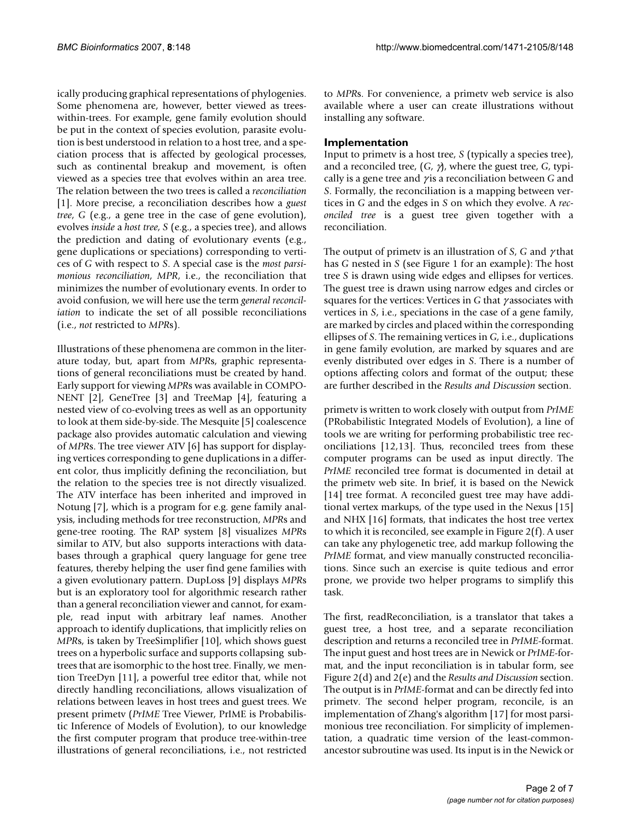ically producing graphical representations of phylogenies. Some phenomena are, however, better viewed as treeswithin-trees. For example, gene family evolution should be put in the context of species evolution, parasite evolution is best understood in relation to a host tree, and a speciation process that is affected by geological processes, such as continental breakup and movement, is often viewed as a species tree that evolves within an area tree. The relation between the two trees is called a *reconciliation* [1]. More precise, a reconciliation describes how a *guest tree*, *G* (e.g., a gene tree in the case of gene evolution), evolves *inside* a *host tree*, *S* (e.g., a species tree), and allows the prediction and dating of evolutionary events (e.g., gene duplications or speciations) corresponding to vertices of *G* with respect to *S*. A special case is the *most parsimonious reconciliation*, *MPR*, i.e., the reconciliation that minimizes the number of evolutionary events. In order to avoid confusion, we will here use the term *general reconciliation* to indicate the set of all possible reconciliations (i.e., *not* restricted to *MPR*s).

Illustrations of these phenomena are common in the literature today, but, apart from *MPR*s, graphic representations of general reconciliations must be created by hand. Early support for viewing *MPR*s was available in COMPO-NENT [2], GeneTree [3] and TreeMap [4], featuring a nested view of co-evolving trees as well as an opportunity to look at them side-by-side. The Mesquite [5] coalescence package also provides automatic calculation and viewing of *MPR*s. The tree viewer ATV [6] has support for displaying vertices corresponding to gene duplications in a different color, thus implicitly defining the reconciliation, but the relation to the species tree is not directly visualized. The ATV interface has been inherited and improved in Notung [7], which is a program for e.g. gene family analysis, including methods for tree reconstruction, *MPR*s and gene-tree rooting. The RAP system [8] visualizes *MPR*s similar to ATV, but also supports interactions with databases through a graphical query language for gene tree features, thereby helping the user find gene families with a given evolutionary pattern. DupLoss [9] displays *MPR*s but is an exploratory tool for algorithmic research rather than a general reconciliation viewer and cannot, for example, read input with arbitrary leaf names. Another approach to identify duplications, that implicitly relies on *MPR*s, is taken by TreeSimplifier [10], which shows guest trees on a hyperbolic surface and supports collapsing subtrees that are isomorphic to the host tree. Finally, we mention TreeDyn [11], a powerful tree editor that, while not directly handling reconciliations, allows visualization of relations between leaves in host trees and guest trees. We present primetv (*PrIME* Tree Viewer, PrIME is Probabilistic Inference of Models of Evolution), to our knowledge the first computer program that produce tree-within-tree illustrations of general reconciliations, i.e., not restricted

to *MPR*s. For convenience, a primetv web service is also available where a user can create illustrations without installing any software.

# **Implementation**

Input to primetv is a host tree, *S* (typically a species tree), and a reconciled tree, (*G*, γ), where the guest tree, *G*, typically is a gene tree and γ is a reconciliation between *G* and *S*. Formally, the reconciliation is a mapping between vertices in *G* and the edges in *S* on which they evolve. A *reconciled tree* is a guest tree given together with a reconciliation.

The output of primetv is an illustration of *S*, *G* and γ that has *G* nested in *S* (see Figure 1 for an example): The host tree *S* is drawn using wide edges and ellipses for vertices. The guest tree is drawn using narrow edges and circles or squares for the vertices: Vertices in *G* that γ associates with vertices in *S*, i.e., speciations in the case of a gene family, are marked by circles and placed within the corresponding ellipses of *S*. The remaining vertices in *G*, i.e., duplications in gene family evolution, are marked by squares and are evenly distributed over edges in *S*. There is a number of options affecting colors and format of the output; these are further described in the *Results and Discussion* section.

primetv is written to work closely with output from *PrIME* (PRobabilistic Integrated Models of Evolution), a line of tools we are writing for performing probabilistic tree reconciliations [12,13]. Thus, reconciled trees from these computer programs can be used as input directly. The *PrIME* reconciled tree format is documented in detail at the primetv web site. In brief, it is based on the Newick [14] tree format. A reconciled guest tree may have additional vertex markups, of the type used in the Nexus [15] and NHX [16] formats, that indicates the host tree vertex to which it is reconciled, see example in Figure 2(f). A user can take any phylogenetic tree, add markup following the *PrIME* format, and view manually constructed reconciliations. Since such an exercise is quite tedious and error prone, we provide two helper programs to simplify this task.

The first, readReconciliation, is a translator that takes a guest tree, a host tree, and a separate reconciliation description and returns a reconciled tree in *PrIME*-format. The input guest and host trees are in Newick or *PrIME*-format, and the input reconciliation is in tabular form, see Figure 2(d) and 2(e) and the *Results and Discussion* section. The output is in *PrIME*-format and can be directly fed into primetv. The second helper program, reconcile, is an implementation of Zhang's algorithm [17] for most parsimonious tree reconciliation. For simplicity of implementation, a quadratic time version of the least-commonancestor subroutine was used. Its input is in the Newick or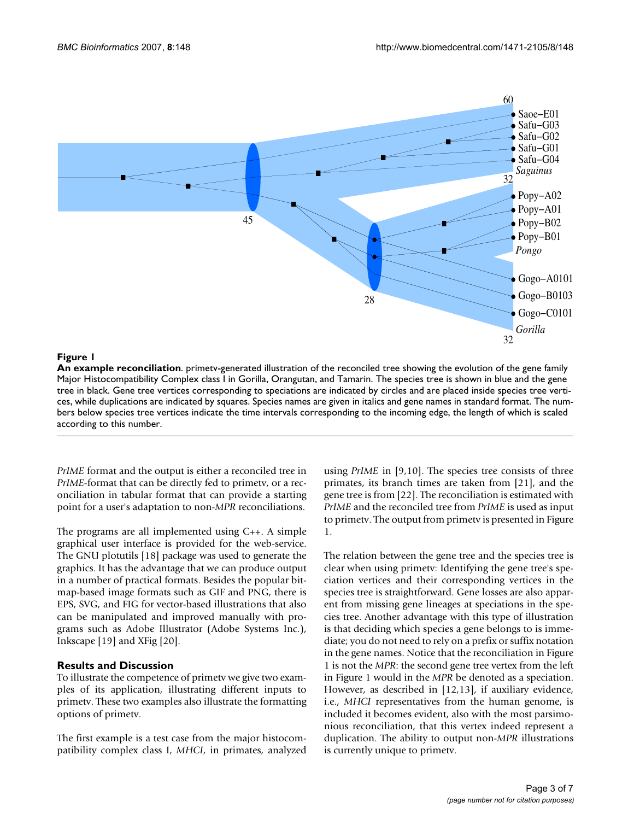

### **Figure 1**

**An example reconciliation**. primetv-generated illustration of the reconciled tree showing the evolution of the gene family Major Histocompatibility Complex class I in Gorilla, Orangutan, and Tamarin. The species tree is shown in blue and the gene tree in black. Gene tree vertices corresponding to speciations are indicated by circles and are placed inside species tree vertices, while duplications are indicated by squares. Species names are given in italics and gene names in standard format. The numbers below species tree vertices indicate the time intervals corresponding to the incoming edge, the length of which is scaled according to this number.

*PrIME* format and the output is either a reconciled tree in *PrIME*-format that can be directly fed to primetv, or a reconciliation in tabular format that can provide a starting point for a user's adaptation to non-*MPR* reconciliations.

The programs are all implemented using C++. A simple graphical user interface is provided for the web-service. The GNU plotutils [18] package was used to generate the graphics. It has the advantage that we can produce output in a number of practical formats. Besides the popular bitmap-based image formats such as GIF and PNG, there is EPS, SVG, and FIG for vector-based illustrations that also can be manipulated and improved manually with programs such as Adobe Illustrator (Adobe Systems Inc.), Inkscape [19] and XFig [20].

# **Results and Discussion**

To illustrate the competence of primetv we give two examples of its application, illustrating different inputs to primetv. These two examples also illustrate the formatting options of primetv.

The first example is a test case from the major histocompatibility complex class I, *MHCI*, in primates, analyzed using *PrIME* in [9,10]. The species tree consists of three primates, its branch times are taken from [21], and the gene tree is from [22]. The reconciliation is estimated with *PrIME* and the reconciled tree from *PrIME* is used as input to primetv. The output from primetv is presented in Figure 1.

The relation between the gene tree and the species tree is clear when using primetv: Identifying the gene tree's speciation vertices and their corresponding vertices in the species tree is straightforward. Gene losses are also apparent from missing gene lineages at speciations in the species tree. Another advantage with this type of illustration is that deciding which species a gene belongs to is immediate; you do not need to rely on a prefix or suffix notation in the gene names. Notice that the reconciliation in Figure 1 is not the *MPR*: the second gene tree vertex from the left in Figure 1 would in the *MPR* be denoted as a speciation. However, as described in [12,13], if auxiliary evidence, i.e., *MHCI* representatives from the human genome, is included it becomes evident, also with the most parsimonious reconciliation, that this vertex indeed represent a duplication. The ability to output non-*MPR* illustrations is currently unique to primetv.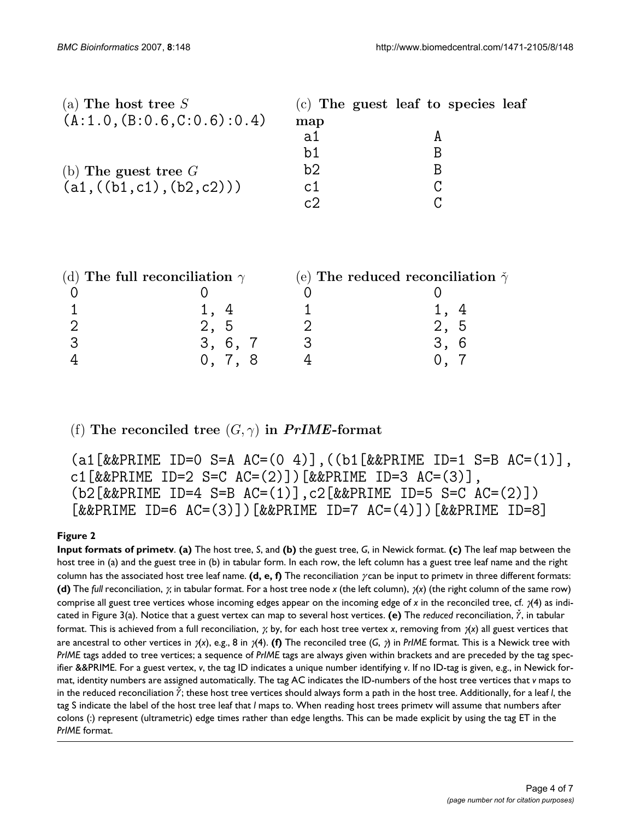| (a) The host tree $S$       |     | $(c)$ The guest leaf to species leaf |  |
|-----------------------------|-----|--------------------------------------|--|
| (A:1.0, (B:0.6, C:0.6):0.4) | map |                                      |  |
|                             | a1  |                                      |  |
|                             | b1  |                                      |  |
| (b) The guest tree $G$      | b2  |                                      |  |
| (a1, ((b1, c1), (b2, c2)))  | c1  |                                      |  |
|                             | c7  |                                      |  |

| (d) The full reconciliation $\gamma$ |  | (e) The reduced reconciliation $\check{\gamma}$ |  |  |
|--------------------------------------|--|-------------------------------------------------|--|--|
|                                      |  |                                                 |  |  |
|                                      |  |                                                 |  |  |
| 2, 5                                 |  | ් ර                                             |  |  |
| 3, 6, 7                              |  |                                                 |  |  |
|                                      |  |                                                 |  |  |
|                                      |  |                                                 |  |  |

(f) The reconciled tree  $(G, \gamma)$  in  $PrIME$ -format

(a1[&&PRIME ID=0 S=A AC=(0 4)],((b1[&&PRIME ID=1 S=B AC=(1)], c1[&&PRIME ID=2 S=C  $AC=(2)$ ])[&&PRIME ID=3  $AC=(3)$ ], (b2[&&PRIME ID=4 S=B AC=(1)],c2[&&PRIME ID=5 S=C AC=(2)])  $[&R$ &PRIME ID=6 AC=(3)])[&&PRIME ID=7 AC=(4)])[&&PRIME ID=8]

# **Figure 2**

**Input formats of primetv**. **(a)** The host tree, *S*, and **(b)** the guest tree, *G*, in Newick format. **(c)** The leaf map between the host tree in (a) and the guest tree in (b) in tabular form. In each row, the left column has a guest tree leaf name and the right column has the associated host tree leaf name. **(d, e, f)** The reconciliation γ can be input to primetv in three different formats: **(d)** The *full* reconciliation, γ, in tabular format. For a host tree node *x* (the left column), γ(*x*) (the right column of the same row) comprise all guest tree vertices whose incoming edges appear on the incoming edge of *x* in the reconciled tree, cf. γ(4) as indicated in Figure 3(a). Notice that a guest vertex can map to several host vertices. (e) The *reduced* reconciliation,  $\gamma$ , in tabular format. This is achieved from a full reconciliation, γ, by, for each host tree vertex *x*, removing from γ(*x*) all guest vertices that are ancestral to other vertices in γ(*x*), e.g., 8 in γ(4). **(f)** The reconciled tree (*G*, γ) in *PrIME* format. This is a Newick tree with *PrIME* tags added to tree vertices; a sequence of *PrIME* tags are always given within brackets and are preceded by the tag specifier &&PRIME. For a guest vertex, *v*, the tag ID indicates a unique number identifying *v*. If no ID-tag is given, e.g., in Newick format, identity numbers are assigned automatically. The tag AC indicates the ID-numbers of the host tree vertices that *v* maps to in the reduced reconciliation  $\gamma$ ; these host tree vertices should always form a path in the host tree. Additionally, for a leaf *l*, the tag S indicate the label of the host tree leaf that *l* maps to. When reading host trees primetv will assume that numbers after colons (:) represent (ultrametric) edge times rather than edge lengths. This can be made explicit by using the tag ET in the *PrIME* format.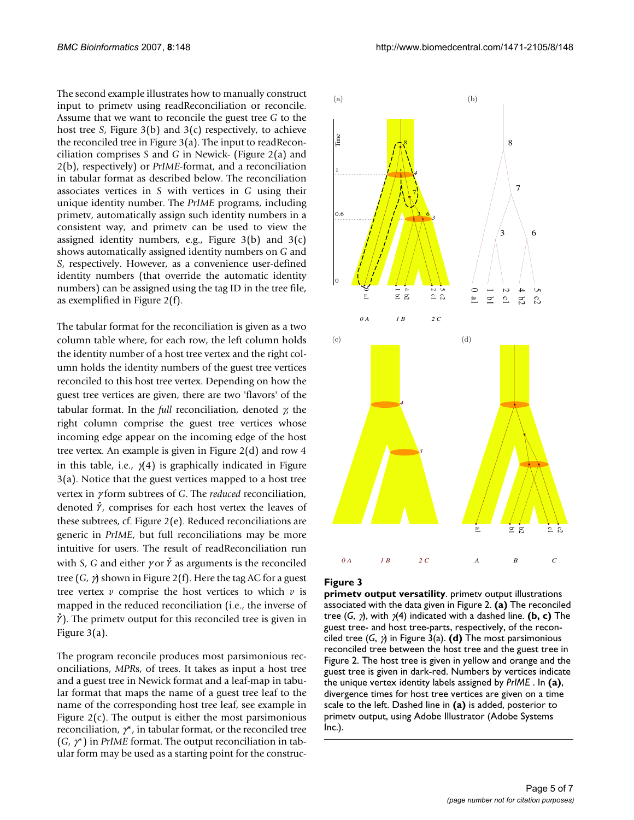The second example illustrates how to manually construct input to primetv using readReconciliation or reconcile. Assume that we want to reconcile the guest tree *G* to the host tree *S*, Figure 3(b) and 3(c) respectively, to achieve the reconciled tree in Figure 3(a). The input to readReconciliation comprises *S* and *G* in Newick- (Figure 2(a) and 2(b), respectively) or *PrIME*-format, and a reconciliation in tabular format as described below. The reconciliation associates vertices in *S* with vertices in *G* using their unique identity number. The *PrIME* programs, including primetv, automatically assign such identity numbers in a consistent way, and primetv can be used to view the assigned identity numbers, e.g., Figure  $3(b)$  and  $3(c)$ shows automatically assigned identity numbers on *G* and *S*, respectively. However, as a convenience user-defined identity numbers (that override the automatic identity numbers) can be assigned using the tag ID in the tree file, as exemplified in Figure 2(f).

The tabular format for the reconciliation is given as a two column table where, for each row, the left column holds the identity number of a host tree vertex and the right column holds the identity numbers of the guest tree vertices reconciled to this host tree vertex. Depending on how the guest tree vertices are given, there are two 'flavors' of the tabular format. In the *full* reconciliation, denoted γ, the right column comprise the guest tree vertices whose incoming edge appear on the incoming edge of the host tree vertex. An example is given in Figure 2(d) and row 4 in this table, i.e.,  $\chi$ (4) is graphically indicated in Figure 3(a). Notice that the guest vertices mapped to a host tree vertex in γ form subtrees of *G*. The *reduced* reconciliation, denoted  $\check{\gamma}$ , comprises for each host vertex the leaves of these subtrees, cf. Figure 2(e). Reduced reconciliations are generic in *PrIME*, but full reconciliations may be more intuitive for users. The result of readReconciliation run with *S*, *G* and either  $\gamma$  or  $\gamma$  as arguments is the reconciled tree (*G*, γ) shown in Figure 2(f). Here the tag AC for a guest tree vertex  $\nu$  comprise the host vertices to which  $\nu$  is mapped in the reduced reconciliation (i.e., the inverse of  $\dot{\gamma}$ ). The primety output for this reconciled tree is given in Figure 3(a).

The program reconcile produces most parsimonious reconciliations, *MPR*s, of trees. It takes as input a host tree and a guest tree in Newick format and a leaf-map in tabular format that maps the name of a guest tree leaf to the name of the corresponding host tree leaf, see example in Figure  $2(c)$ . The output is either the most parsimonious reconciliation,  $\gamma^*$ , in tabular format, or the reconciled tree (*G*, γ\*) in *PrIME* format. The output reconciliation in tabular form may be used as a starting point for the construc-



#### **Figure 3**

**primetv output versatility**. primetv output illustrations associated with the data given in Figure 2. **(a)** The reconciled tree (*G*, γ), with γ(4) indicated with a dashed line. **(b, c)** The guest tree- and host tree-parts, respectively, of the reconciled tree (*G*, γ) in Figure 3(a). **(d)** The most parsimonious reconciled tree between the host tree and the guest tree in Figure 2. The host tree is given in yellow and orange and the guest tree is given in dark-red. Numbers by vertices indicate the unique vertex identity labels assigned by *PrIME* . In **(a)**, divergence times for host tree vertices are given on a time scale to the left. Dashed line in **(a)** is added, posterior to primetv output, using Adobe Illustrator (Adobe Systems Inc.).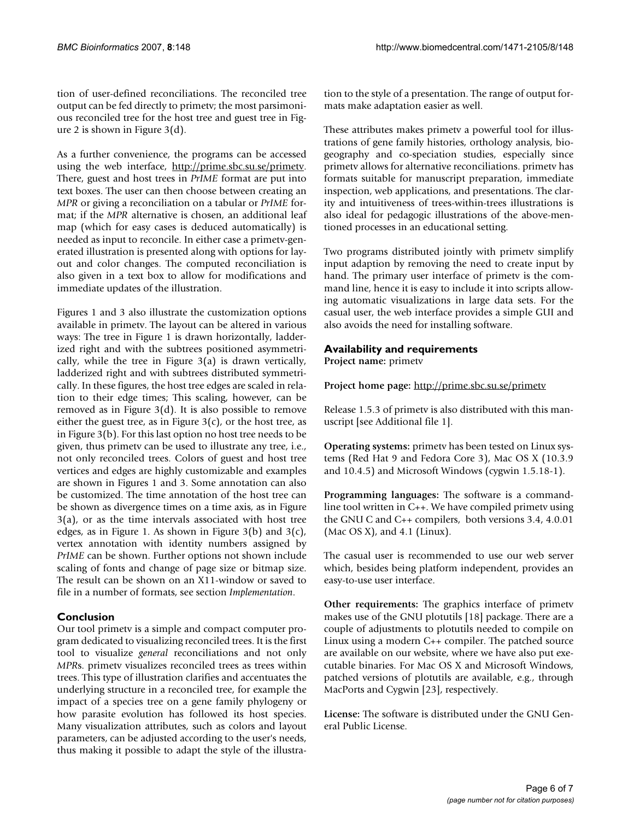tion of user-defined reconciliations. The reconciled tree output can be fed directly to primetv; the most parsimonious reconciled tree for the host tree and guest tree in Figure 2 is shown in Figure 3(d).

As a further convenience, the programs can be accessed using the web interface, [http://prime.sbc.su.se/primetv.](http://prime.sbc.su.se/primetv) There, guest and host trees in *PrIME* format are put into text boxes. The user can then choose between creating an *MPR* or giving a reconciliation on a tabular or *PrIME* format; if the *MPR* alternative is chosen, an additional leaf map (which for easy cases is deduced automatically) is needed as input to reconcile. In either case a primetv-generated illustration is presented along with options for layout and color changes. The computed reconciliation is also given in a text box to allow for modifications and immediate updates of the illustration.

Figures 1 and 3 also illustrate the customization options available in primetv. The layout can be altered in various ways: The tree in Figure 1 is drawn horizontally, ladderized right and with the subtrees positioned asymmetrically, while the tree in Figure 3(a) is drawn vertically, ladderized right and with subtrees distributed symmetrically. In these figures, the host tree edges are scaled in relation to their edge times; This scaling, however, can be removed as in Figure 3(d). It is also possible to remove either the guest tree, as in Figure  $3(c)$ , or the host tree, as in Figure 3(b). For this last option no host tree needs to be given, thus primetv can be used to illustrate any tree, i.e., not only reconciled trees. Colors of guest and host tree vertices and edges are highly customizable and examples are shown in Figures 1 and 3. Some annotation can also be customized. The time annotation of the host tree can be shown as divergence times on a time axis, as in Figure 3(a), or as the time intervals associated with host tree edges, as in Figure 1. As shown in Figure  $3(b)$  and  $3(c)$ , vertex annotation with identity numbers assigned by *PrIME* can be shown. Further options not shown include scaling of fonts and change of page size or bitmap size. The result can be shown on an X11-window or saved to file in a number of formats, see section *Implementation*.

# **Conclusion**

Our tool primetv is a simple and compact computer program dedicated to visualizing reconciled trees. It is the first tool to visualize *general* reconciliations and not only *MPR*s. primetv visualizes reconciled trees as trees within trees. This type of illustration clarifies and accentuates the underlying structure in a reconciled tree, for example the impact of a species tree on a gene family phylogeny or how parasite evolution has followed its host species. Many visualization attributes, such as colors and layout parameters, can be adjusted according to the user's needs, thus making it possible to adapt the style of the illustration to the style of a presentation. The range of output formats make adaptation easier as well.

These attributes makes primetv a powerful tool for illustrations of gene family histories, orthology analysis, biogeography and co-speciation studies, especially since primetv allows for alternative reconciliations. primetv has formats suitable for manuscript preparation, immediate inspection, web applications, and presentations. The clarity and intuitiveness of trees-within-trees illustrations is also ideal for pedagogic illustrations of the above-mentioned processes in an educational setting.

Two programs distributed jointly with primetv simplify input adaption by removing the need to create input by hand. The primary user interface of primetv is the command line, hence it is easy to include it into scripts allowing automatic visualizations in large data sets. For the casual user, the web interface provides a simple GUI and also avoids the need for installing software.

# **Availability and requirements**

**Project name:** primetv

**Project home page:** <http://prime.sbc.su.se/primetv>

Release 1.5.3 of primetv is also distributed with this manuscript [see Additional file 1].

**Operating systems:** primetv has been tested on Linux systems (Red Hat 9 and Fedora Core 3), Mac OS X (10.3.9 and 10.4.5) and Microsoft Windows (cygwin 1.5.18-1).

**Programming languages:** The software is a commandline tool written in C++. We have compiled primetv using the GNU C and C++ compilers, both versions 3.4, 4.0.01 (Mac OS X), and 4.1 (Linux).

The casual user is recommended to use our web server which, besides being platform independent, provides an easy-to-use user interface.

**Other requirements:** The graphics interface of primetv makes use of the GNU plotutils [18] package. There are a couple of adjustments to plotutils needed to compile on Linux using a modern C++ compiler. The patched source are available on our website, where we have also put executable binaries. For Mac OS X and Microsoft Windows, patched versions of plotutils are available, e.g., through MacPorts and Cygwin [23], respectively.

**License:** The software is distributed under the GNU General Public License.